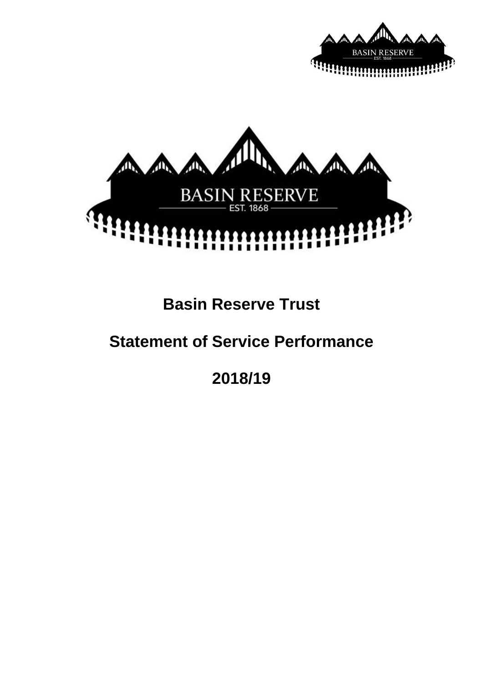



# **Basin Reserve Trust**

# **Statement of Service Performance**

**2018/19**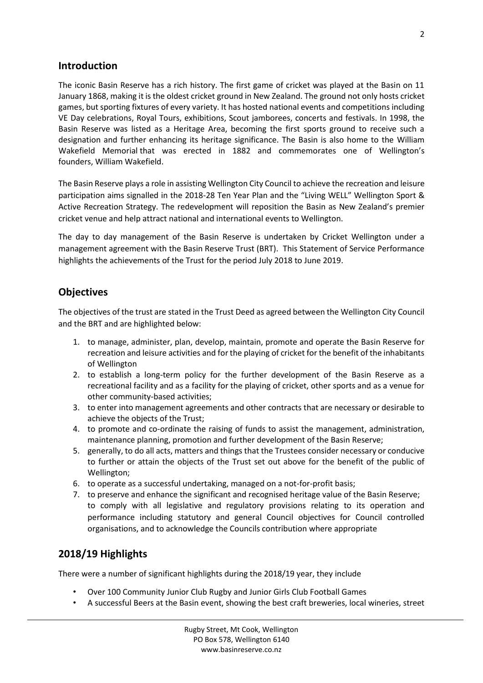# **Introduction**

The iconic Basin Reserve has a rich history. The first game of cricket was played at the Basin on 11 January 1868, making it is the oldest cricket ground in New Zealand. The ground not only hosts cricket games, but sporting fixtures of every variety. It has hosted national events and competitions including VE Day celebrations, Royal Tours, exhibitions, Scout jamborees, concerts and festivals. In 1998, the Basin Reserve was listed as a Heritage Area, becoming the first sports ground to receive such a designation and further enhancing its heritage significance. The Basin is also home to the [William](https://en.wikipedia.org/wiki/William_Wakefield_Memorial)  [Wakefield Memorial](https://en.wikipedia.org/wiki/William_Wakefield_Memorial) that was erected in 1882 and commemorates one of Wellington's founders, [William Wakefield.](https://en.wikipedia.org/wiki/William_Wakefield)

The Basin Reserve plays a role in assisting Wellington City Council to achieve the recreation and leisure participation aims signalled in the 2018-28 Ten Year Plan and the "Living WELL" Wellington Sport & Active Recreation Strategy. The redevelopment will reposition the Basin as New Zealand's premier cricket venue and help attract national and international events to Wellington.

The day to day management of the Basin Reserve is undertaken by Cricket Wellington under a management agreement with the Basin Reserve Trust (BRT). This Statement of Service Performance highlights the achievements of the Trust for the period July 2018 to June 2019.

# **Objectives**

The objectives of the trust are stated in the Trust Deed as agreed between the Wellington City Council and the BRT and are highlighted below:

- 1. to manage, administer, plan, develop, maintain, promote and operate the Basin Reserve for recreation and leisure activities and for the playing of cricket for the benefit of the inhabitants of Wellington
- 2. to establish a long-term policy for the further development of the Basin Reserve as a recreational facility and as a facility for the playing of cricket, other sports and as a venue for other community-based activities;
- 3. to enter into management agreements and other contracts that are necessary or desirable to achieve the objects of the Trust;
- 4. to promote and co-ordinate the raising of funds to assist the management, administration, maintenance planning, promotion and further development of the Basin Reserve;
- 5. generally, to do all acts, matters and things that the Trustees consider necessary or conducive to further or attain the objects of the Trust set out above for the benefit of the public of Wellington;
- 6. to operate as a successful undertaking, managed on a not-for-profit basis;
- 7. to preserve and enhance the significant and recognised heritage value of the Basin Reserve; to comply with all legislative and regulatory provisions relating to its operation and performance including statutory and general Council objectives for Council controlled organisations, and to acknowledge the Councils contribution where appropriate

# **2018/19 Highlights**

There were a number of significant highlights during the 2018/19 year, they include

- Over 100 Community Junior Club Rugby and Junior Girls Club Football Games
- A successful Beers at the Basin event, showing the best craft breweries, local wineries, street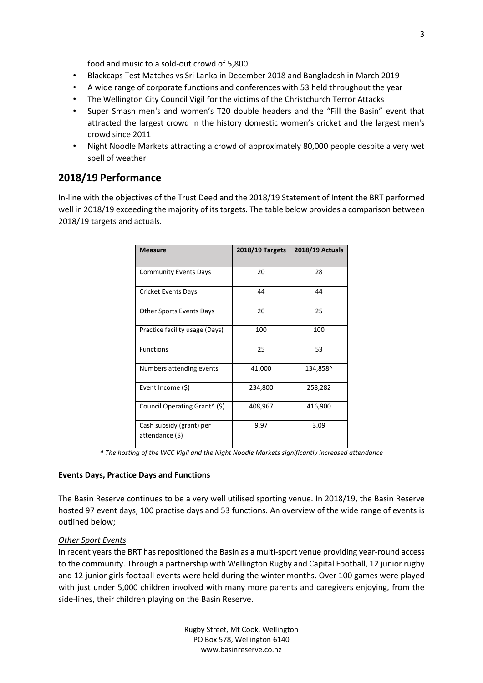food and music to a sold-out crowd of 5,800

- Blackcaps Test Matches vs Sri Lanka in December 2018 and Bangladesh in March 2019
- A wide range of corporate functions and conferences with 53 held throughout the year
- The Wellington City Council Vigil for the victims of the Christchurch Terror Attacks
- Super Smash men's and women's T20 double headers and the "Fill the Basin" event that attracted the largest crowd in the history domestic women's cricket and the largest men's crowd since 2011
- Night Noodle Markets attracting a crowd of approximately 80,000 people despite a very wet spell of weather

## **2018/19 Performance**

In-line with the objectives of the Trust Deed and the 2018/19 Statement of Intent the BRT performed well in 2018/19 exceeding the majority of its targets. The table below provides a comparison between 2018/19 targets and actuals.

| <b>Measure</b>                              | 2018/19 Targets | <b>2018/19 Actuals</b> |
|---------------------------------------------|-----------------|------------------------|
| <b>Community Events Days</b>                | 20              | 28                     |
| Cricket Events Days                         | 44              | 44                     |
| Other Sports Events Days                    | 20              | 25                     |
| Practice facility usage (Days)              | 100             | 100                    |
| <b>Functions</b>                            | 25              | 53                     |
| Numbers attending events                    | 41,000          | 134,858^               |
| Event Income (\$)                           | 234,800         | 258,282                |
| Council Operating Grant <sup>^</sup> (\$)   | 408,967         | 416,900                |
| Cash subsidy (grant) per<br>attendance (\$) | 9.97            | 3.09                   |

*^ The hosting of the WCC Vigil and the Night Noodle Markets significantly increased attendance* 

#### **Events Days, Practice Days and Functions**

The Basin Reserve continues to be a very well utilised sporting venue. In 2018/19, the Basin Reserve hosted 97 event days, 100 practise days and 53 functions. An overview of the wide range of events is outlined below;

#### *Other Sport Events*

In recent years the BRT has repositioned the Basin as a multi-sport venue providing year-round access to the community. Through a partnership with Wellington Rugby and Capital Football, 12 junior rugby and 12 junior girls football events were held during the winter months. Over 100 games were played with just under 5,000 children involved with many more parents and caregivers enjoying, from the side-lines, their children playing on the Basin Reserve.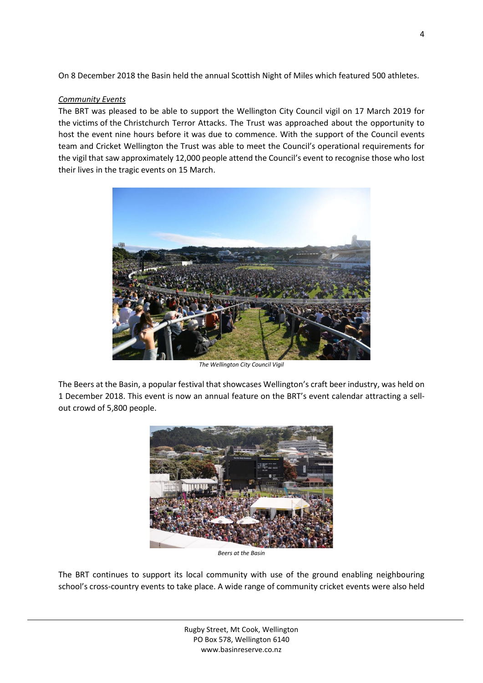On 8 December 2018 the Basin held the annual Scottish Night of Miles which featured 500 athletes.

#### *Community Events*

The BRT was pleased to be able to support the Wellington City Council vigil on 17 March 2019 for the victims of the Christchurch Terror Attacks. The Trust was approached about the opportunity to host the event nine hours before it was due to commence. With the support of the Council events team and Cricket Wellington the Trust was able to meet the Council's operational requirements for the vigil that saw approximately 12,000 people attend the Council's event to recognise those who lost their lives in the tragic events on 15 March.



*The Wellington City Council Vigil* 

The Beers at the Basin, a popular festival that showcases Wellington's craft beer industry, was held on 1 December 2018. This event is now an annual feature on the BRT's event calendar attracting a sellout crowd of 5,800 people.



*Beers at the Basin* 

The BRT continues to support its local community with use of the ground enabling neighbouring school's cross-country events to take place. A wide range of community cricket events were also held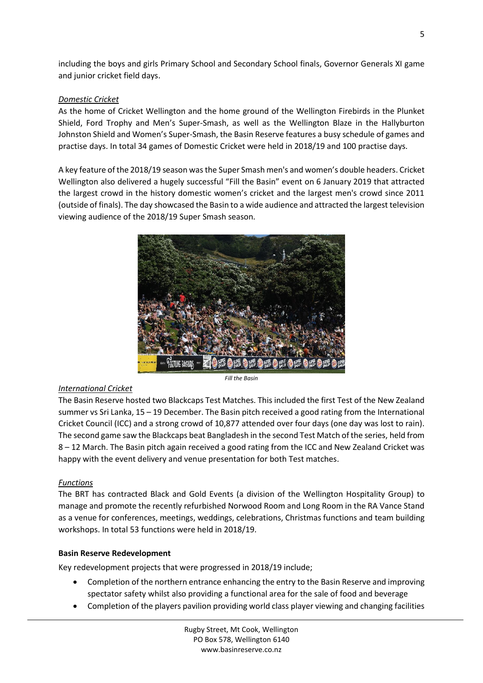including the boys and girls Primary School and Secondary School finals, Governor Generals XI game and junior cricket field days.

## *Domestic Cricket*

As the home of Cricket Wellington and the home ground of the Wellington Firebirds in the Plunket Shield, Ford Trophy and Men's Super-Smash, as well as the Wellington Blaze in the Hallyburton Johnston Shield and Women's Super-Smash, the Basin Reserve features a busy schedule of games and practise days. In total 34 games of Domestic Cricket were held in 2018/19 and 100 practise days.

A key feature of the 2018/19 season was the Super Smash men's and women's double headers. Cricket Wellington also delivered a hugely successful "Fill the Basin" event on 6 January 2019 that attracted the largest crowd in the history domestic women's cricket and the largest men's crowd since 2011 (outside of finals). The day showcased the Basin to a wide audience and attracted the largest television viewing audience of the 2018/19 Super Smash season.



## *International Cricket*

The Basin Reserve hosted two Blackcaps Test Matches. This included the first Test of the New Zealand summer vs Sri Lanka, 15 – 19 December. The Basin pitch received a good rating from the International Cricket Council (ICC) and a strong crowd of 10,877 attended over four days (one day was lost to rain). The second game saw the Blackcaps beat Bangladesh in the second Test Match of the series, held from 8 – 12 March. The Basin pitch again received a good rating from the ICC and New Zealand Cricket was happy with the event delivery and venue presentation for both Test matches.

## *Functions*

The BRT has contracted Black and Gold Events (a division of the Wellington Hospitality Group) to manage and promote the recently refurbished Norwood Room and Long Room in the RA Vance Stand as a venue for conferences, meetings, weddings, celebrations, Christmas functions and team building workshops. In total 53 functions were held in 2018/19.

## **Basin Reserve Redevelopment**

Key redevelopment projects that were progressed in 2018/19 include;

- Completion of the northern entrance enhancing the entry to the Basin Reserve and improving spectator safety whilst also providing a functional area for the sale of food and beverage
- Completion of the players pavilion providing world class player viewing and changing facilities

5